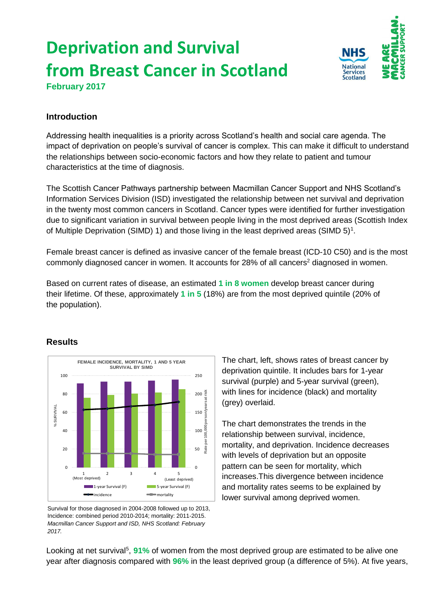# **Deprivation and Survival from Breast Cancer in Scotland**



**February 2017**

### **Introduction**

Addressing health inequalities is a priority across Scotland's health and social care agenda. The impact of deprivation on people's survival of cancer is complex. This can make it difficult to understand the relationships between socio-economic factors and how they relate to patient and tumour characteristics at the time of diagnosis.

The Scottish Cancer Pathways partnership between Macmillan Cancer Support and NHS Scotland's Information Services Division (ISD) investigated the relationship between net survival and deprivation in the twenty most common cancers in Scotland. Cancer types were identified for further investigation due to significant variation in survival between people living in the most deprived areas (Scottish Index of Multiple Deprivation (SIMD) 1) and those living in the least deprived areas (SIMD  $5$ )<sup>1</sup>.

Female breast cancer is defined as invasive cancer of the female breast (ICD-10 C50) and is the most commonly diagnosed cancer in women. It accounts for  $28\%$  of all cancers<sup>2</sup> diagnosed in women.

Based on current rates of disease, an estimated **1 in 8 women** develop breast cancer during their lifetime. Of these, approximately **1 in 5** (18%) are from the most deprived quintile (20% of the population).



## **Results**

Survival for those diagnosed in 2004-2008 followed up to 2013, Incidence: combined period 2010-2014; mortality: 2011-2015. *Macmillan Cancer Support and ISD, NHS Scotland: February 2017.*

The chart, left, shows rates of breast cancer by deprivation quintile. It includes bars for 1-year survival (purple) and 5-year survival (green), with lines for incidence (black) and mortality (grey) overlaid.

The chart demonstrates the trends in the relationship between survival, incidence, mortality, and deprivation. Incidence decreases with levels of deprivation but an opposite pattern can be seen for mortality, which increases.This divergence between incidence and mortality rates seems to be explained by lower survival among deprived women.

Looking at net survival<sup>5</sup>, 91% of women from the most deprived group are estimated to be alive one year after diagnosis compared with **96%** in the least deprived group (a difference of 5%). At five years,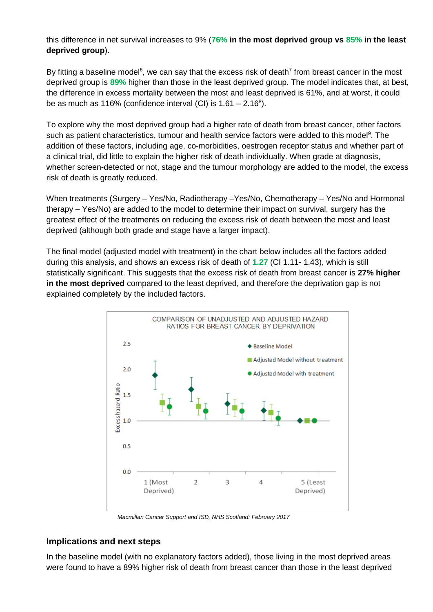this difference in net survival increases to 9% (**76% in the most deprived group vs 85% in the least deprived group**).

By fitting a baseline model<sup>6</sup>, we can say that the excess risk of death<sup>7</sup> from breast cancer in the most deprived group is **89%** higher than those in the least deprived group. The model indicates that, at best, the difference in excess mortality between the most and least deprived is 61%, and at worst, it could be as much as 116% (confidence interval (CI) is  $1.61 - 2.16<sup>8</sup>$ ).

To explore why the most deprived group had a higher rate of death from breast cancer, other factors such as patient characteristics, tumour and health service factors were added to this model<sup>9</sup>. The addition of these factors, including age, co-morbidities, oestrogen receptor status and whether part of a clinical trial, did little to explain the higher risk of death individually. When grade at diagnosis, whether screen-detected or not, stage and the tumour morphology are added to the model, the excess risk of death is greatly reduced.

When treatments (Surgery – Yes/No, Radiotherapy –Yes/No, Chemotherapy – Yes/No and Hormonal therapy – Yes/No) are added to the model to determine their impact on survival, surgery has the greatest effect of the treatments on reducing the excess risk of death between the most and least deprived (although both grade and stage have a larger impact).

The final model (adjusted model with treatment) in the chart below includes all the factors added during this analysis, and shows an excess risk of death of **1.27** (CI 1.11- 1.43), which is still statistically significant. This suggests that the excess risk of death from breast cancer is **27% higher in the most deprived** compared to the least deprived, and therefore the deprivation gap is not explained completely by the included factors.



*Macmillan Cancer Support and ISD, NHS Scotland: February 2017*

#### **Implications and next steps**

In the baseline model (with no explanatory factors added), those living in the most deprived areas were found to have a 89% higher risk of death from breast cancer than those in the least deprived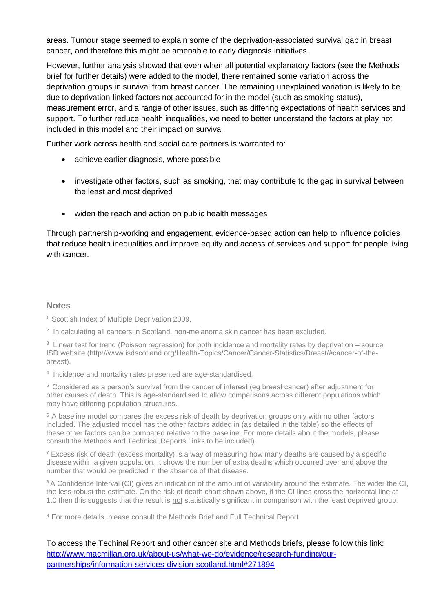areas. Tumour stage seemed to explain some of the deprivation-associated survival gap in breast cancer, and therefore this might be amenable to early diagnosis initiatives.

However, further analysis showed that even when all potential explanatory factors (see the Methods brief for further details) were added to the model, there remained some variation across the deprivation groups in survival from breast cancer. The remaining unexplained variation is likely to be due to deprivation-linked factors not accounted for in the model (such as smoking status), measurement error, and a range of other issues, such as differing expectations of health services and support. To further reduce health inequalities, we need to better understand the factors at play not included in this model and their impact on survival.

Further work across health and social care partners is warranted to:

- achieve earlier diagnosis, where possible
- investigate other factors, such as smoking, that may contribute to the gap in survival between the least and most deprived
- widen the reach and action on public health messages

Through partnership-working and engagement, evidence-based action can help to influence policies that reduce health inequalities and improve equity and access of services and support for people living with cancer.

#### **Notes**

<sup>1</sup> Scottish Index of Multiple Deprivation 2009.

2 In calculating all cancers in Scotland, non-melanoma skin cancer has been excluded.

<sup>3</sup> Linear test for trend (Poisson regression) for both incidence and mortality rates by deprivation – source ISD website (http://www.isdscotland.org/Health-Topics/Cancer/Cancer-Statistics/Breast/#cancer-of-thebreast).

4 Incidence and mortality rates presented are age-standardised.

<sup>5</sup>Considered as a person's survival from the cancer of interest (eg breast cancer) after adjustment for other causes of death. This is age-standardised to allow comparisons across different populations which may have differing population structures.

<sup>6</sup> A baseline model compares the excess risk of death by deprivation groups only with no other factors included. The adjusted model has the other factors added in (as detailed in the table) so the effects of these other factors can be compared relative to the baseline. For more details about the models, please consult the Methods and Technical Reports Ilinks to be included).

 $<sup>7</sup>$  Excess risk of death (excess mortality) is a way of measuring how many deaths are caused by a specific</sup> disease within a given population. It shows the number of extra deaths which occurred over and above the number that would be predicted in the absence of that disease.

<sup>8</sup> A Confidence Interval (CI) gives an indication of the amount of variability around the estimate. The wider the CI. the less robust the estimate. On the risk of death chart shown above, if the CI lines cross the horizontal line at 1.0 then this suggests that the result is not statistically significant in comparison with the least deprived group.

<sup>9</sup> For more details, please consult the Methods Brief and Full Technical Report.

To access the Techinal Report and other cancer site and Methods briefs, please follow this link: [http://www.macmillan.org.uk/about-us/what-we-do/evidence/research-funding/our](http://www.macmillan.org.uk/about-us/what-we-do/evidence/research-funding/our-partnerships/information-services-division-scotland.html#271894)[partnerships/information-services-division-scotland.html#271894](http://www.macmillan.org.uk/about-us/what-we-do/evidence/research-funding/our-partnerships/information-services-division-scotland.html#271894)